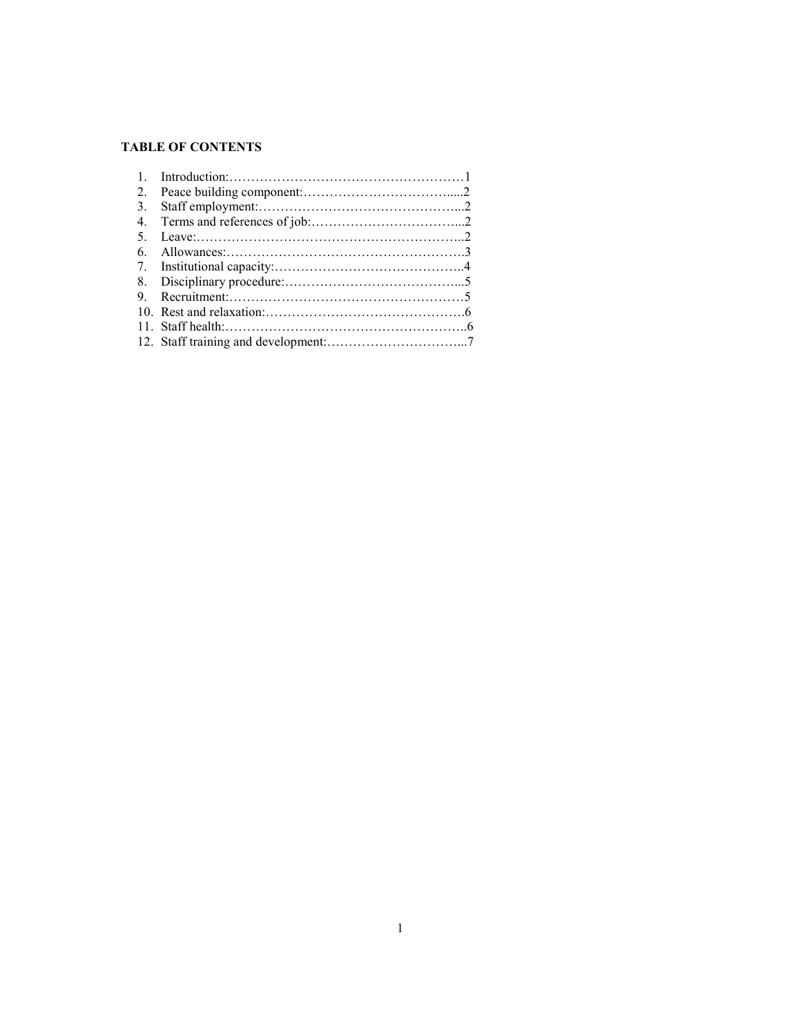## **TABLE OF CO TE TS**

| $\mathbf{1}$ |  |
|--------------|--|
| 2.           |  |
| 3.           |  |
| $4_{\cdot}$  |  |
| 5            |  |
| 6            |  |
|              |  |
|              |  |
| 9            |  |
|              |  |
|              |  |
|              |  |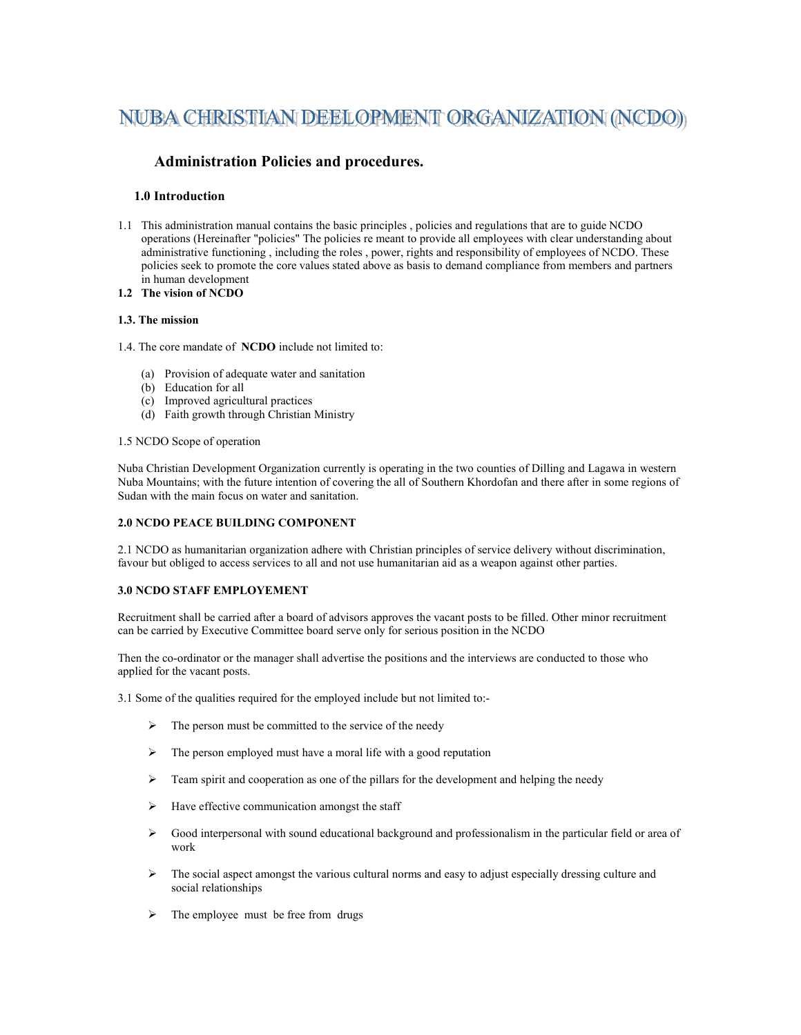# NUBA CHRISTIAN DEELOPMENT ORGANIZATION (NCDO)

# **Administration Policies and procedures.**

## **1.0 Introduction**

- 1.1 This administration manual contains the basic principles , policies and regulations that are to guide NCDO operations (Hereinafter "policies" The policies re meant to provide all employees with clear understanding about administrative functioning , including the roles , power, rights and responsibility of employees of NCDO. These policies seek to promote the core values stated above as basis to demand compliance from members and partners in human development
- **1.2 The vision of CDO**

## **1.3. The mission**

1.4. The core mandate of  **CDO** include not limited to:

- (a) Provision of adequate water and sanitation
- (b) Education for all
- (c) Improved agricultural practices
- (d) Faith growth through Christian Ministry

#### 1.5 NCDO Scope of operation

Nuba Christian Development Organization currently is operating in the two counties of Dilling and Lagawa in western Nuba Mountains; with the future intention of covering the all of Southern Khordofan and there after in some regions of Sudan with the main focus on water and sanitation.

#### **2.0 NCDO PEACE BUILDING COMPONENT**

2.1 NCDO as humanitarian organization adhere with Christian principles of service delivery without discrimination, favour but obliged to access services to all and not use humanitarian aid as a weapon against other parties.

## **3.0 CDO STAFF EMPLOYEME T**

Recruitment shall be carried after a board of advisors approves the vacant posts to be filled. Other minor recruitment can be carried by Executive Committee board serve only for serious position in the NCDO

Then the co-ordinator or the manager shall advertise the positions and the interviews are conducted to those who applied for the vacant posts.

3.1 Some of the qualities required for the employed include but not limited to:-

- $\triangleright$  The person must be committed to the service of the needy
- $\triangleright$  The person employed must have a moral life with a good reputation
- $\triangleright$  Team spirit and cooperation as one of the pillars for the development and helping the needy
- $\triangleright$  Have effective communication amongst the staff
- Good interpersonal with sound educational background and professionalism in the particular field or area of work
- $\triangleright$  The social aspect amongst the various cultural norms and easy to adjust especially dressing culture and social relationships
- $\triangleright$  The employee must be free from drugs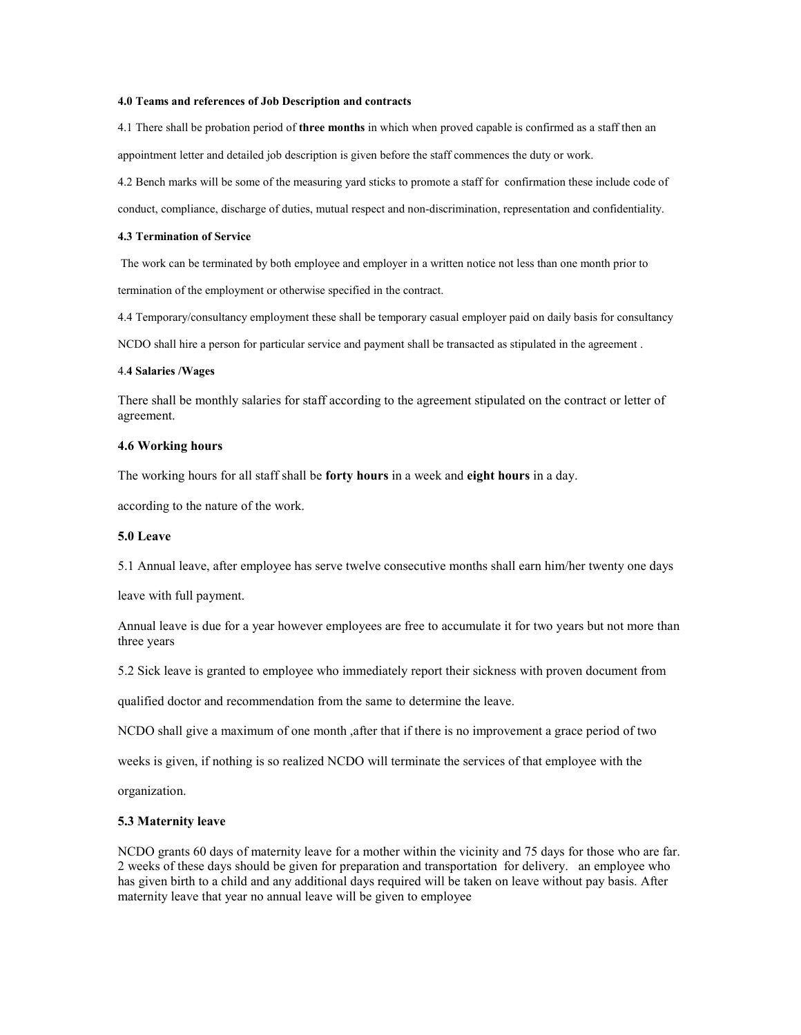#### **4.0 Teams and references of Job Description and contracts**

4.1 There shall be probation period of **three months** in which when proved capable is confirmed as a staff then an appointment letter and detailed job description is given before the staff commences the duty or work.

4.2 Bench marks will be some of the measuring yard sticks to promote a staff for confirmation these include code of conduct, compliance, discharge of duties, mutual respect and non-discrimination, representation and confidentiality.

#### **4.3 Termination of Service**

The work can be terminated by both employee and employer in a written notice not less than one month prior to termination of the employment or otherwise specified in the contract.

4.4 Temporary/consultancy employment these shall be temporary casual employer paid on daily basis for consultancy

NCDO shall hire a person for particular service and payment shall be transacted as stipulated in the agreement .

#### 4.**4 Salaries /Wages**

There shall be monthly salaries for staff according to the agreement stipulated on the contract or letter of agreement.

## **4.6 Working hours**

The working hours for all staff shall be **forty hours** in a week and **eight hours** in a day.

according to the nature of the work.

## **5.0 Leave**

5.1 Annual leave, after employee has serve twelve consecutive months shall earn him/her twenty one days

leave with full payment.

Annual leave is due for a year however employees are free to accumulate it for two years but not more than three years

5.2 Sick leave is granted to employee who immediately report their sickness with proven document from

qualified doctor and recommendation from the same to determine the leave.

NCDO shall give a maximum of one month ,after that if there is no improvement a grace period of two

weeks is given, if nothing is so realized NCDO will terminate the services of that employee with the

organization.

#### **5.3 Maternity leave**

NCDO grants 60 days of maternity leave for a mother within the vicinity and 75 days for those who are far. 2 weeks of these days should be given for preparation and transportation for delivery. an employee who has given birth to a child and any additional days required will be taken on leave without pay basis. After maternity leave that year no annual leave will be given to employee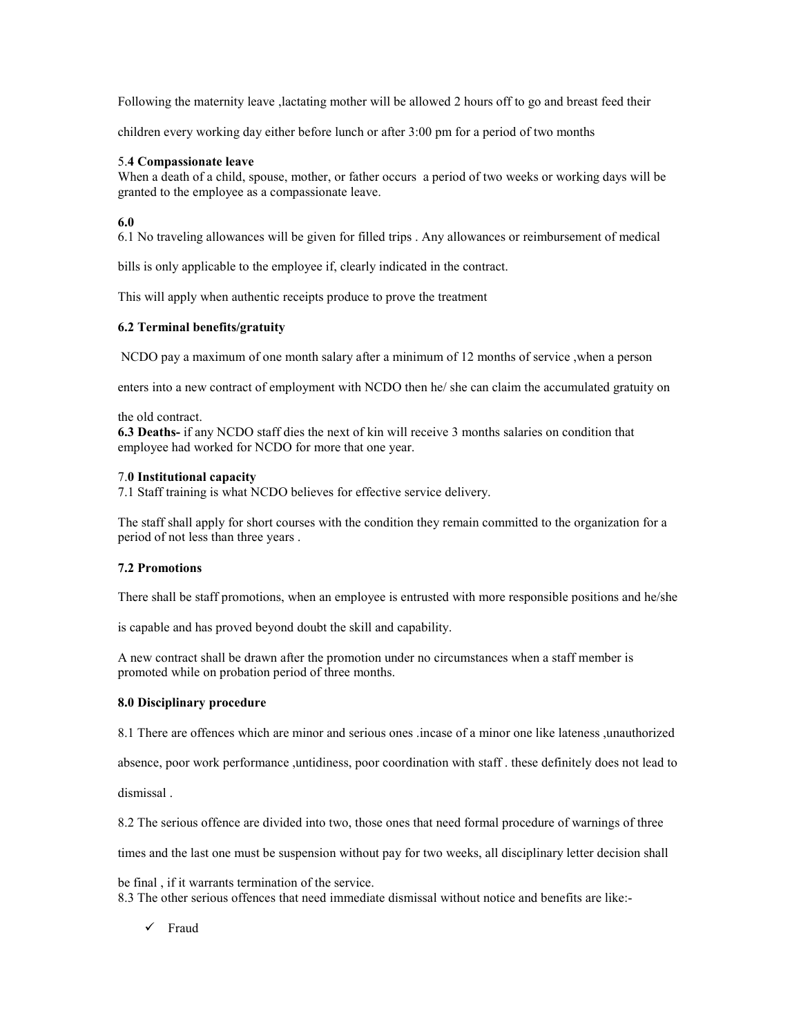Following the maternity leave ,lactating mother will be allowed 2 hours off to go and breast feed their

children every working day either before lunch or after 3:00 pm for a period of two months

# 5.**4 Compassionate leave**

When a death of a child, spouse, mother, or father occurs a period of two weeks or working days will be granted to the employee as a compassionate leave.

# **6.0**

6.1 No traveling allowances will be given for filled trips . Any allowances or reimbursement of medical

bills is only applicable to the employee if, clearly indicated in the contract.

This will apply when authentic receipts produce to prove the treatment

# **6.2 Terminal benefits/gratuity**

NCDO pay a maximum of one month salary after a minimum of 12 months of service ,when a person

enters into a new contract of employment with NCDO then he/ she can claim the accumulated gratuity on

the old contract.

**6.3 Deaths-** if any NCDO staff dies the next of kin will receive 3 months salaries on condition that employee had worked for NCDO for more that one year.

## 7.**0 Institutional capacity**

7.1 Staff training is what NCDO believes for effective service delivery.

The staff shall apply for short courses with the condition they remain committed to the organization for a period of not less than three years .

# **7.2 Promotions**

There shall be staff promotions, when an employee is entrusted with more responsible positions and he/she

is capable and has proved beyond doubt the skill and capability.

A new contract shall be drawn after the promotion under no circumstances when a staff member is promoted while on probation period of three months.

# **8.0 Disciplinary procedure**

8.1 There are offences which are minor and serious ones .incase of a minor one like lateness ,unauthorized

absence, poor work performance ,untidiness, poor coordination with staff . these definitely does not lead to

dismissal .

8.2 The serious offence are divided into two, those ones that need formal procedure of warnings of three

times and the last one must be suspension without pay for two weeks, all disciplinary letter decision shall

be final , if it warrants termination of the service. 8.3 The other serious offences that need immediate dismissal without notice and benefits are like:-

- Fraud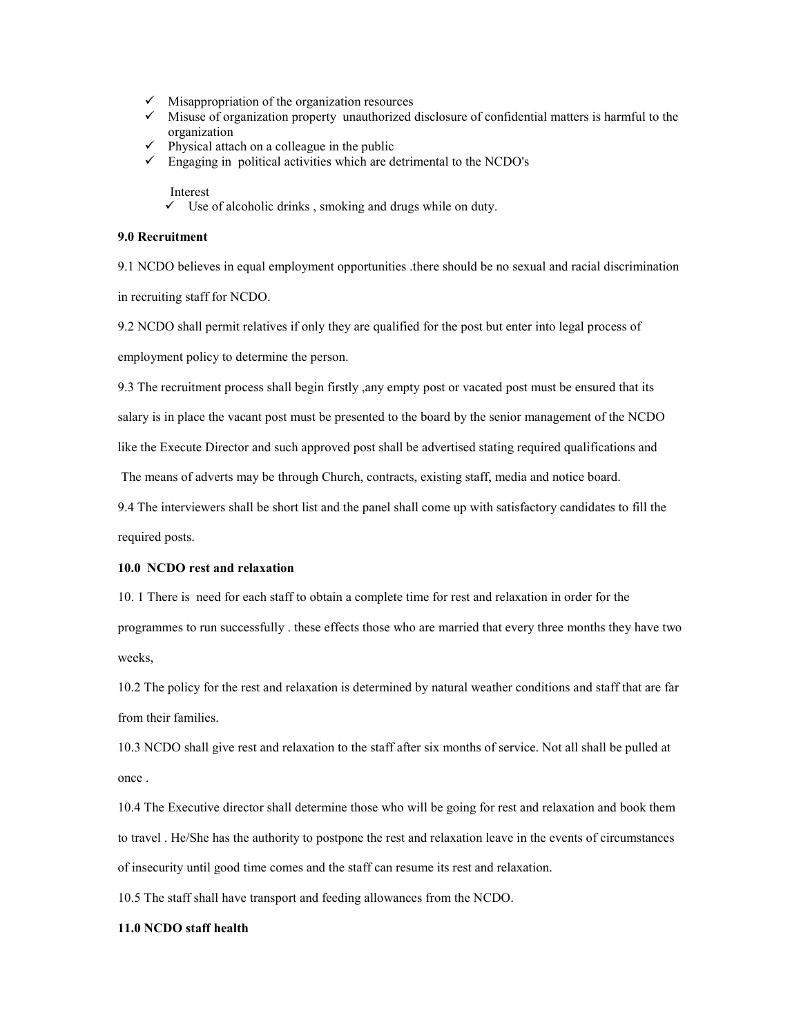- Misappropriation of the organization resources
- Misuse of organization property unauthorized disclosure of confidential matters is harmful to the organization
- $\checkmark$  Physical attach on a colleague in the public
- $\checkmark$  Engaging in political activities which are detrimental to the NCDO's
	- Interest
	- $\checkmark$  Use of alcoholic drinks, smoking and drugs while on duty.

## **9.0 Recruitment**

9.1 NCDO believes in equal employment opportunities .there should be no sexual and racial discrimination in recruiting staff for NCDO.

9.2 NCDO shall permit relatives if only they are qualified for the post but enter into legal process of employment policy to determine the person.

9.3 The recruitment process shall begin firstly ,any empty post or vacated post must be ensured that its salary is in place the vacant post must be presented to the board by the senior management of the NCDO like the Execute Director and such approved post shall be advertised stating required qualifications and The means of adverts may be through Church, contracts, existing staff, media and notice board.

9.4 The interviewers shall be short list and the panel shall come up with satisfactory candidates to fill the required posts.

#### **10.0 CDO rest and relaxation**

10. 1 There is need for each staff to obtain a complete time for rest and relaxation in order for the programmes to run successfully . these effects those who are married that every three months they have two weeks,

10.2 The policy for the rest and relaxation is determined by natural weather conditions and staff that are far from their families.

10.3 NCDO shall give rest and relaxation to the staff after six months of service. Not all shall be pulled at once .

10.4 The Executive director shall determine those who will be going for rest and relaxation and book them to travel . He/She has the authority to postpone the rest and relaxation leave in the events of circumstances of insecurity until good time comes and the staff can resume its rest and relaxation.

10.5 The staff shall have transport and feeding allowances from the NCDO.

#### **11.0 CDO staff health**